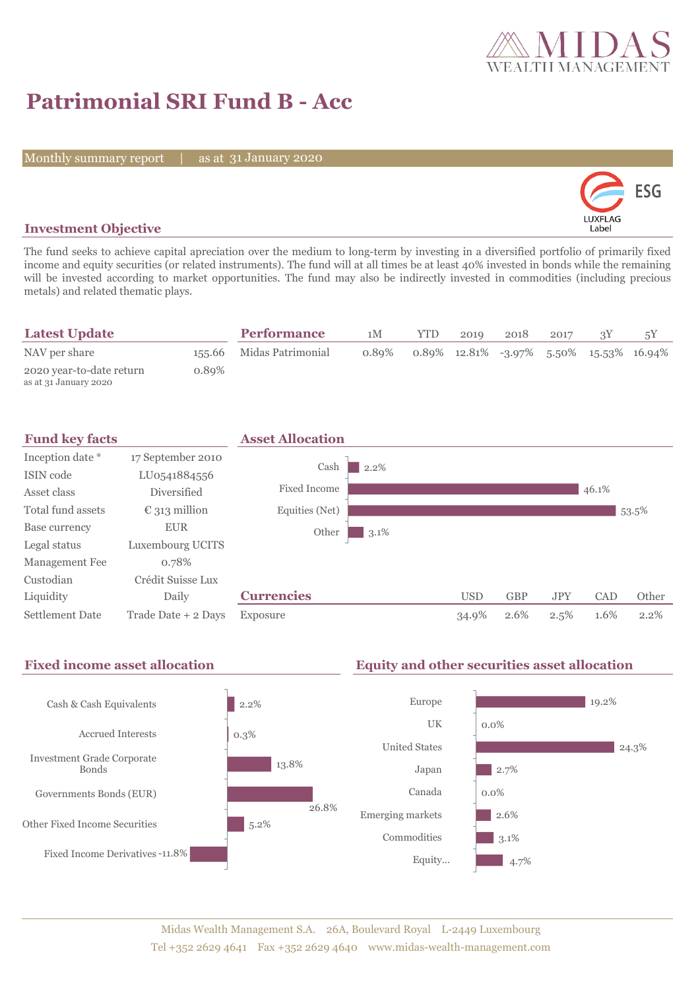

# **Patrimonial SRI Fund B - Acc**

Monthly summary report

31 January 2020



## **Investment Objective**

The fund seeks to achieve capital apreciation over the medium to long-term by investing in a diversified portfolio of primarily fixed income and equity securities (or related instruments). The fund will at all times be at least 40% invested in bonds while the remaining will be invested according to market opportunities. The fund may also be indirectly invested in commodities (including precious metals) and related thematic plays.

| <b>Latest Update</b>                              |       | <b>Performance</b>       | 1M       | <b>YTD</b> | 2019 | 2018 | 2017 |                                            |
|---------------------------------------------------|-------|--------------------------|----------|------------|------|------|------|--------------------------------------------|
| NAV per share                                     |       | 155.66 Midas Patrimonial | $0.89\%$ |            |      |      |      | $0.89\%$ 12.81% -3.97% 5.50% 15.53% 16.94% |
| 2020 year-to-date return<br>as at 31 January 2020 | 0.89% |                          |          |            |      |      |      |                                            |



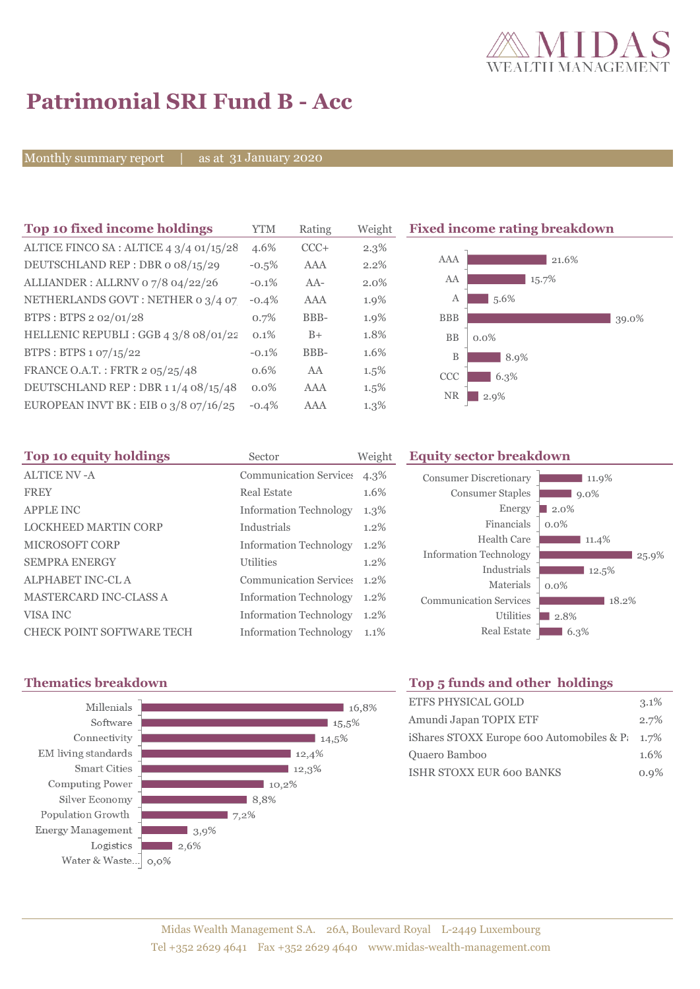

# **Patrimonial SRI Fund B - Acc**

Monthly summary report

31 January 2020

| Top 10 fixed income holdings            | YTM      | Rating | Weigh |
|-----------------------------------------|----------|--------|-------|
| ALTICE FINCO SA: ALTICE 4 3/4 01/15/28  | 4.6%     | $CCC+$ | 2.3%  |
| DEUTSCHLAND REP: DBR o 08/15/29         | $-0.5%$  | AAA    | 2.2%  |
| ALLIANDER: ALLRNV 07/8 04/22/26         | $-0.1\%$ | $AA-$  | 2.0%  |
| NETHERLANDS GOVT: NETHER 0 3/4 07       | $-0.4%$  | AAA    | 1.9%  |
| BTPS: BTPS 2 02/01/28                   | 0.7%     | BBB-   | 1.9%  |
| HELLENIC REPUBLI : GGB 4 3/8 08/01/22   | 0.1%     | $B+$   | 1.8%  |
| BTPS: BTPS 1 07/15/22                   | $-0.1%$  | BBB-   | 1.6%  |
| FRANCE O.A.T.: FRTR 2 05/25/48          | 0.6%     | AA     | 1.5%  |
| DEUTSCHLAND REP : DBR 1 1/4 08/15/48    | $0.0\%$  | AAA    | 1.5%  |
| EUROPEAN INVT BK : EIB o $3/8$ 07/16/25 | $-0.4%$  | AAA    | 1.3%  |

**Fixed income rating breakdown** 



| Top 10 equity holdings           | Sector                        | Weight  | <b>Equity sector breakdown</b> |                     |  |  |
|----------------------------------|-------------------------------|---------|--------------------------------|---------------------|--|--|
| ALTICE NV-A                      | <b>Communication Services</b> | 4.3%    | <b>Consumer Discretionary</b>  | 11.9%               |  |  |
| <b>FREY</b>                      | <b>Real Estate</b>            | 1.6%    | <b>Consumer Staples</b>        | $9.0\%$             |  |  |
| <b>APPLE INC</b>                 | <b>Information Technology</b> | $1.3\%$ | Energy                         | $\blacksquare$ 2.0% |  |  |
| <b>LOCKHEED MARTIN CORP</b>      | Industrials                   | 1.2%    | Financials                     | $0.0\%$             |  |  |
| <b>MICROSOFT CORP</b>            | <b>Information Technology</b> | $1.2\%$ | Health Care                    | 11.4%               |  |  |
| <b>SEMPRA ENERGY</b>             | <b>Utilities</b>              | $1.2\%$ | <b>Information Technology</b>  | 25.9%               |  |  |
| ALPHABET INC-CL A                | Communication Service: 1.2%   |         | Industrials                    | 12.5%               |  |  |
| <b>MASTERCARD INC-CLASS A</b>    | <b>Information Technology</b> | 1.2%    | Materials                      | $0.0\%$             |  |  |
|                                  |                               |         | <b>Communication Services</b>  | 18.2%               |  |  |
| VISA INC                         | <b>Information Technology</b> | $1.2\%$ | <b>Utilities</b>               | $\blacksquare$ 2.8% |  |  |
| <b>CHECK POINT SOFTWARE TECH</b> | <b>Information Technology</b> | 1.1%    | <b>Real Estate</b>             | $6.3\%$             |  |  |



# **Thematics breakdown Top 5 funds and other holdings**

| <b>ETFS PHYSICAL GOLD</b>                          | $3.1\%$ |
|----------------------------------------------------|---------|
| Amundi Japan TOPIX ETF                             | 2.7%    |
| iShares STOXX Europe 600 Automobiles & P $\,$ 1.7% |         |
| Quaero Bamboo                                      | 1.6%    |
| <b>ISHR STOXX EUR 600 BANKS</b>                    | $0.9\%$ |